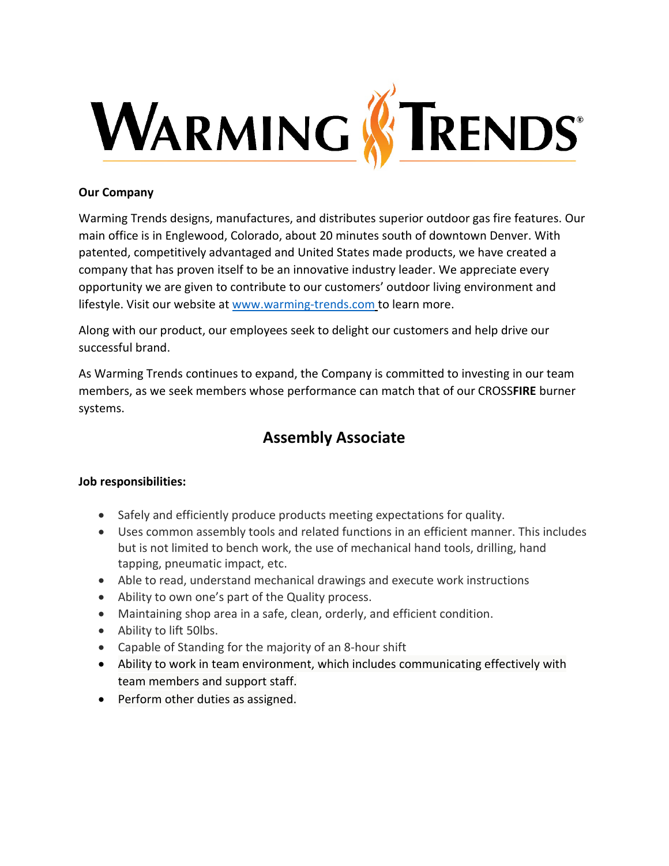

## **Our Company**

Warming Trends designs, manufactures, and distributes superior outdoor gas fire features. Our main office is in Englewood, Colorado, about 20 minutes south of downtown Denver. With patented, competitively advantaged and United States made products, we have created a company that has proven itself to be an innovative industry leader. We appreciate every opportunity we are given to contribute to our customers' outdoor living environment and lifestyle. Visit our website at [www.warming-trends.com](http://www.warming-trends.com/) to learn more.

Along with our product, our employees seek to delight our customers and help drive our successful brand.

As Warming Trends continues to expand, the Company is committed to investing in our team members, as we seek members whose performance can match that of our CROSS**FIRE** burner systems.

## **Assembly Associate**

## **Job responsibilities:**

- Safely and efficiently produce products meeting expectations for quality.
- Uses common assembly tools and related functions in an efficient manner. This includes but is not limited to bench work, the use of mechanical hand tools, drilling, hand tapping, pneumatic impact, etc.
- Able to read, understand mechanical drawings and execute work instructions
- Ability to own one's part of the Quality process.
- Maintaining shop area in a safe, clean, orderly, and efficient condition.
- Ability to lift 50lbs.
- Capable of Standing for the majority of an 8-hour shift
- Ability to work in team environment, which includes communicating effectively with team members and support staff.
- Perform other duties as assigned.